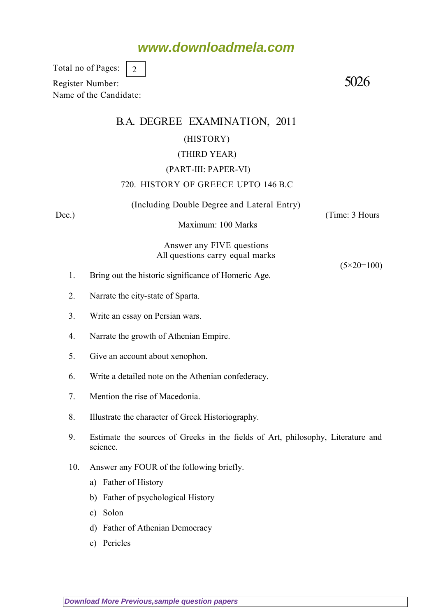## **www.downloadmela.com**

Total no of Pages: 2

Register Number: 5026 Name of the Candidate:

### B.A. DEGREE EXAMINATION, 2011

#### (HISTORY)

#### (THIRD YEAR)

#### (PART-III: PAPER-VI)

#### 720. HISTORY OF GREECE UPTO 146 B.C

(Including Double Degree and Lateral Entry)

Dec.) (Time: 3 Hours

Maximum: 100 Marks

Answer any FIVE questions All questions carry equal marks

 $(5 \times 20 = 100)$ 

- 1. Bring out the historic significance of Homeric Age.
- 2. Narrate the city-state of Sparta.
- 3. Write an essay on Persian wars.
- 4. Narrate the growth of Athenian Empire.
- 5. Give an account about xenophon.
- 6. Write a detailed note on the Athenian confederacy.
- 7. Mention the rise of Macedonia.
- 8. Illustrate the character of Greek Historiography.
- 9. Estimate the sources of Greeks in the fields of Art, philosophy, Literature and science.
- 10. Answer any FOUR of the following briefly.
	- a) Father of History
	- b) Father of psychological History
	- c) Solon
	- d) Father of Athenian Democracy
	- e) Pericles

**[Download More Previous,sample question papers](http://downloadmela.com/pages/previouspapers/previouspapers.html)**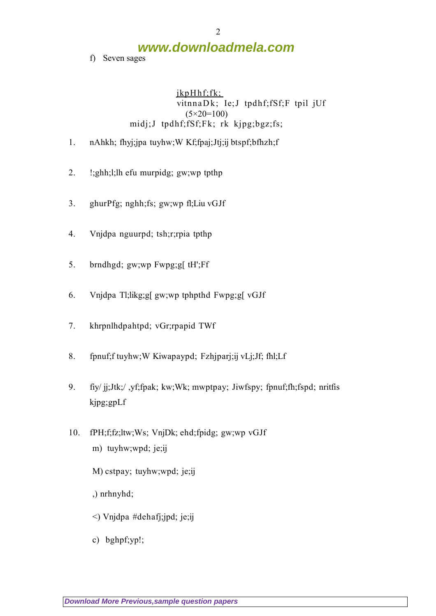**www.downloadmela.com**

f) Seven sages

jkpHhf;fk; vitnnaDk; Ie;J tpdhf;fSf;F tpil jUf (5*×20=100)* midj;J tpdhf;fSf;Fk; rk kjpg;bgz;fs;

- 1. nAhkh; fhyj;jpa tuyhw;W Kf;fpaj;Jtj;ij btspf;bfhzh;f
- 2. !;ghh;l;lh efu murpidg; gw;wp tpthp
- 3. ghurPfg; nghh;fs; gw;wp fl;Liu vGJf
- 4. Vnjdpa nguurpd; tsh;r;rpia tpthp
- 5. brndhgd; gw;wp Fwpg;g[ tH';Ff
- 6. Vnjdpa Tl;likg;g[ gw;wp tphpthd Fwpg;g[ vGJf
- 7. khrpnlhdpahtpd; vGr;rpapid TWf
- 8. fpnuf;f tuyhw;W Kiwapaypd; Fzhjparj;ij vLj;Jf; fhl;Lf
- 9. fiy/ jj;Jtk;/ ,yf;fpak; kw;Wk; mwptpay; Jiwfspy; fpnuf;fh;fspd; nritfis kjpg;gpLf
- 10. fPH;f;fz;ltw;Ws; VnjDk; ehd;fpidg; gw;wp vGJf m) tuyhw;wpd; je;ij
	- M) cstpay; tuyhw;wpd; je;ij
	- ,) nrhnyhd;
	- <) Vnjdpa #dehafj;jpd; je;ij
	- c) bghpf;yp!;